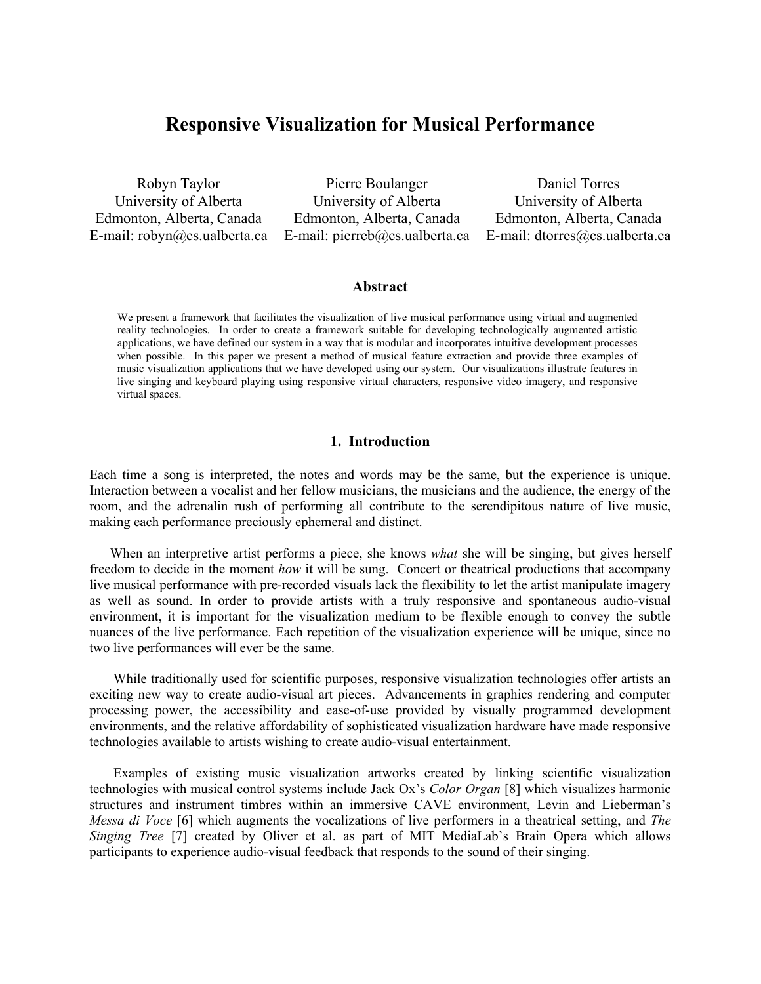# **Responsive Visualization for Musical Performance**

Robyn Taylor University of Alberta Edmonton, Alberta, Canada E-mail: robyn@cs.ualberta.ca

Pierre Boulanger University of Alberta Edmonton, Alberta, Canada E-mail: pierreb@cs.ualberta.ca

Daniel Torres University of Alberta Edmonton, Alberta, Canada E-mail: dtorres@cs.ualberta.ca

#### **Abstract**

We present a framework that facilitates the visualization of live musical performance using virtual and augmented reality technologies. In order to create a framework suitable for developing technologically augmented artistic applications, we have defined our system in a way that is modular and incorporates intuitive development processes when possible. In this paper we present a method of musical feature extraction and provide three examples of music visualization applications that we have developed using our system. Our visualizations illustrate features in live singing and keyboard playing using responsive virtual characters, responsive video imagery, and responsive virtual spaces.

#### **1. Introduction**

Each time a song is interpreted, the notes and words may be the same, but the experience is unique. Interaction between a vocalist and her fellow musicians, the musicians and the audience, the energy of the room, and the adrenalin rush of performing all contribute to the serendipitous nature of live music, making each performance preciously ephemeral and distinct.

 When an interpretive artist performs a piece, she knows *what* she will be singing, but gives herself freedom to decide in the moment *how* it will be sung. Concert or theatrical productions that accompany live musical performance with pre-recorded visuals lack the flexibility to let the artist manipulate imagery as well as sound. In order to provide artists with a truly responsive and spontaneous audio-visual environment, it is important for the visualization medium to be flexible enough to convey the subtle nuances of the live performance. Each repetition of the visualization experience will be unique, since no two live performances will ever be the same.

 While traditionally used for scientific purposes, responsive visualization technologies offer artists an exciting new way to create audio-visual art pieces. Advancements in graphics rendering and computer processing power, the accessibility and ease-of-use provided by visually programmed development environments, and the relative affordability of sophisticated visualization hardware have made responsive technologies available to artists wishing to create audio-visual entertainment.

 Examples of existing music visualization artworks created by linking scientific visualization technologies with musical control systems include Jack Ox's *Color Organ* [8] which visualizes harmonic structures and instrument timbres within an immersive CAVE environment, Levin and Lieberman's *Messa di Voce* [6] which augments the vocalizations of live performers in a theatrical setting, and *The Singing Tree* [7] created by Oliver et al. as part of MIT MediaLab's Brain Opera which allows participants to experience audio-visual feedback that responds to the sound of their singing.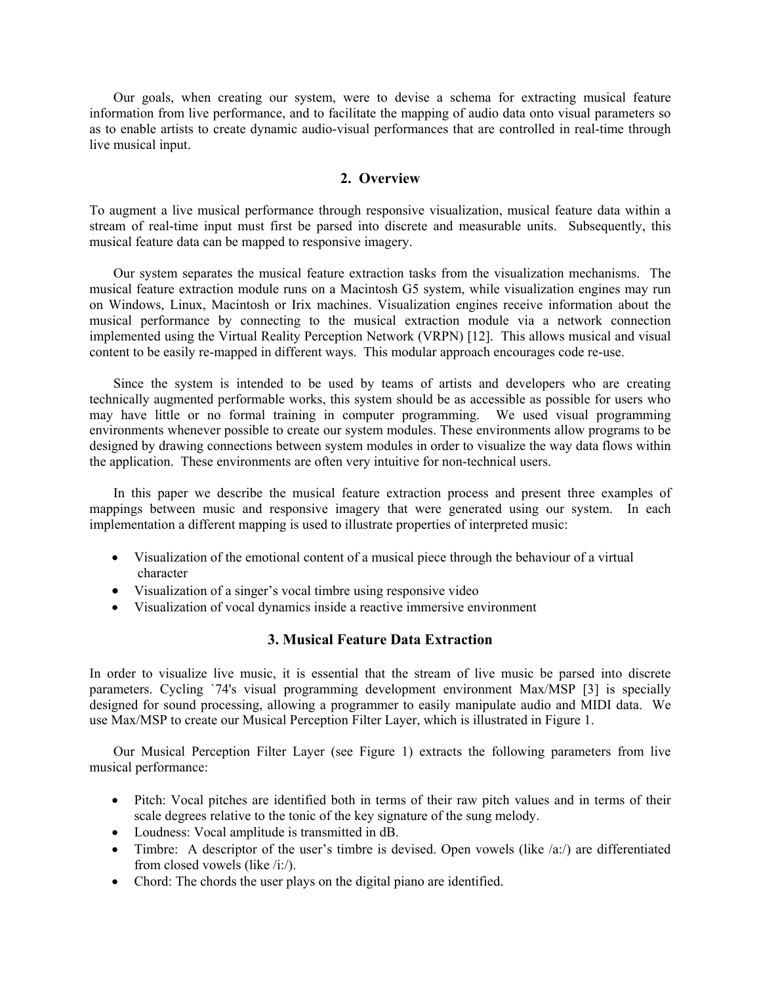Our goals, when creating our system, were to devise a schema for extracting musical feature information from live performance, and to facilitate the mapping of audio data onto visual parameters so as to enable artists to create dynamic audio-visual performances that are controlled in real-time through live musical input.

### **2. Overview**

To augment a live musical performance through responsive visualization, musical feature data within a stream of real-time input must first be parsed into discrete and measurable units. Subsequently, this musical feature data can be mapped to responsive imagery.

 Our system separates the musical feature extraction tasks from the visualization mechanisms. The musical feature extraction module runs on a Macintosh G5 system, while visualization engines may run on Windows, Linux, Macintosh or Irix machines. Visualization engines receive information about the musical performance by connecting to the musical extraction module via a network connection implemented using the Virtual Reality Perception Network (VRPN) [12]. This allows musical and visual content to be easily re-mapped in different ways. This modular approach encourages code re-use.

 Since the system is intended to be used by teams of artists and developers who are creating technically augmented performable works, this system should be as accessible as possible for users who may have little or no formal training in computer programming. We used visual programming environments whenever possible to create our system modules. These environments allow programs to be designed by drawing connections between system modules in order to visualize the way data flows within the application. These environments are often very intuitive for non-technical users.

 In this paper we describe the musical feature extraction process and present three examples of mappings between music and responsive imagery that were generated using our system. In each implementation a different mapping is used to illustrate properties of interpreted music:

- Visualization of the emotional content of a musical piece through the behaviour of a virtual character
- Visualization of a singer's vocal timbre using responsive video
- Visualization of vocal dynamics inside a reactive immersive environment

#### **3. Musical Feature Data Extraction**

In order to visualize live music, it is essential that the stream of live music be parsed into discrete parameters. Cycling `74's visual programming development environment Max/MSP [3] is specially designed for sound processing, allowing a programmer to easily manipulate audio and MIDI data. We use Max/MSP to create our Musical Perception Filter Layer, which is illustrated in Figure 1.

 Our Musical Perception Filter Layer (see Figure 1) extracts the following parameters from live musical performance:

- Pitch: Vocal pitches are identified both in terms of their raw pitch values and in terms of their scale degrees relative to the tonic of the key signature of the sung melody.
- Loudness: Vocal amplitude is transmitted in dB.
- Timbre: A descriptor of the user's timbre is devised. Open vowels (like  $\langle a x \rangle$ ) are differentiated from closed vowels (like /i:/).
- Chord: The chords the user plays on the digital piano are identified.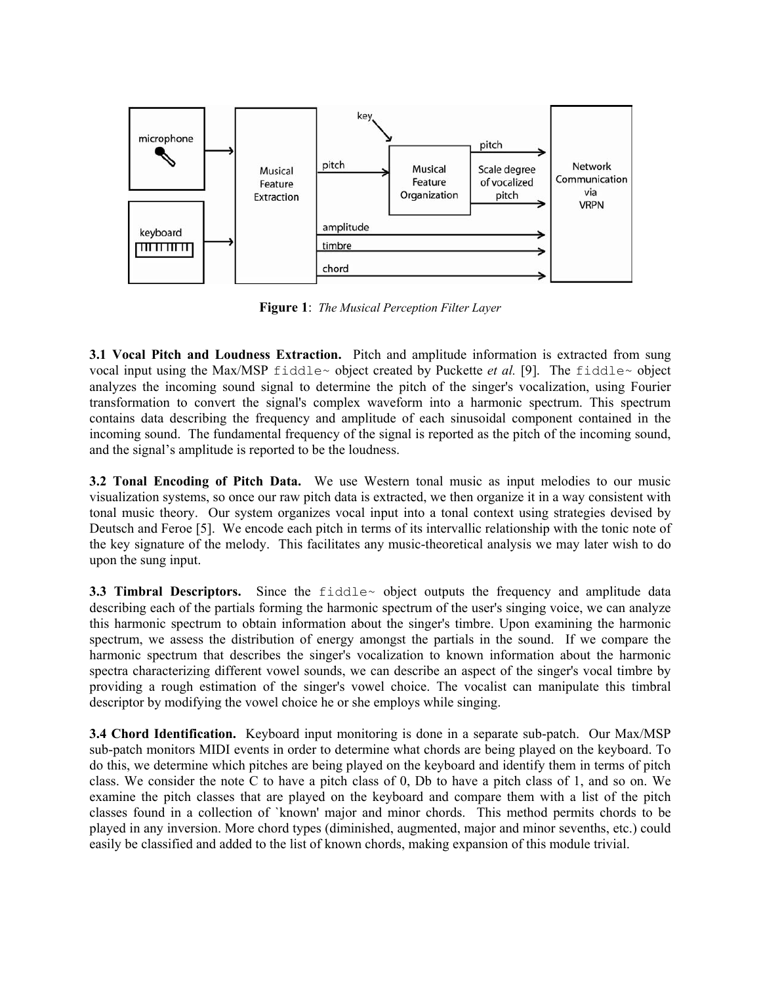

**Figure 1**: *The Musical Perception Filter Layer* 

**3.1 Vocal Pitch and Loudness Extraction.** Pitch and amplitude information is extracted from sung vocal input using the Max/MSP fiddle~ object created by Puckette *et al.* [9]. The fiddle~ object analyzes the incoming sound signal to determine the pitch of the singer's vocalization, using Fourier transformation to convert the signal's complex waveform into a harmonic spectrum. This spectrum contains data describing the frequency and amplitude of each sinusoidal component contained in the incoming sound. The fundamental frequency of the signal is reported as the pitch of the incoming sound, and the signal's amplitude is reported to be the loudness.

**3.2 Tonal Encoding of Pitch Data.** We use Western tonal music as input melodies to our music visualization systems, so once our raw pitch data is extracted, we then organize it in a way consistent with tonal music theory. Our system organizes vocal input into a tonal context using strategies devised by Deutsch and Feroe [5]. We encode each pitch in terms of its intervallic relationship with the tonic note of the key signature of the melody. This facilitates any music-theoretical analysis we may later wish to do upon the sung input.

**3.3 Timbral Descriptors.** Since the fiddle object outputs the frequency and amplitude data describing each of the partials forming the harmonic spectrum of the user's singing voice, we can analyze this harmonic spectrum to obtain information about the singer's timbre. Upon examining the harmonic spectrum, we assess the distribution of energy amongst the partials in the sound.If we compare the harmonic spectrum that describes the singer's vocalization to known information about the harmonic spectra characterizing different vowel sounds, we can describe an aspect of the singer's vocal timbre by providing a rough estimation of the singer's vowel choice. The vocalist can manipulate this timbral descriptor by modifying the vowel choice he or she employs while singing.

**3.4 Chord Identification.** Keyboard input monitoring is done in a separate sub-patch. Our Max/MSP sub-patch monitors MIDI events in order to determine what chords are being played on the keyboard. To do this, we determine which pitches are being played on the keyboard and identify them in terms of pitch class. We consider the note C to have a pitch class of 0, Db to have a pitch class of 1, and so on. We examine the pitch classes that are played on the keyboard and compare them with a list of the pitch classes found in a collection of `known' major and minor chords.This method permits chords to be played in any inversion. More chord types (diminished, augmented, major and minor sevenths, etc.) could easily be classified and added to the list of known chords, making expansion of this module trivial.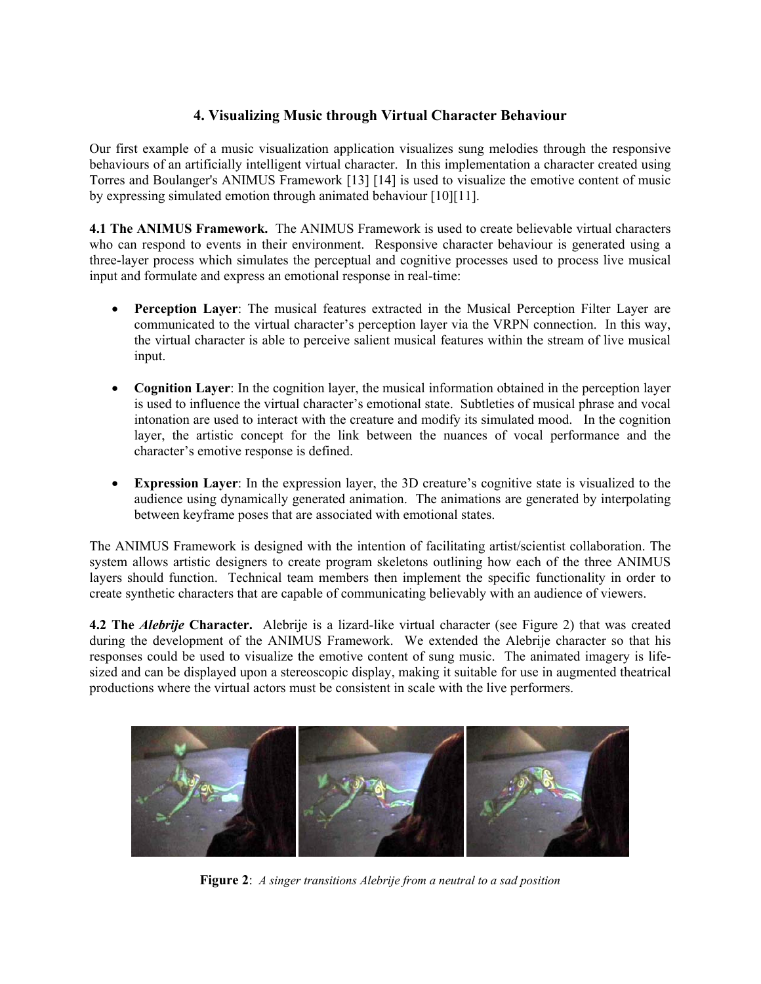# **4. Visualizing Music through Virtual Character Behaviour**

Our first example of a music visualization application visualizes sung melodies through the responsive behaviours of an artificially intelligent virtual character. In this implementation a character created using Torres and Boulanger's ANIMUS Framework [13] [14] is used to visualize the emotive content of music by expressing simulated emotion through animated behaviour [10][11].

**4.1 The ANIMUS Framework.** The ANIMUS Framework is used to create believable virtual characters who can respond to events in their environment. Responsive character behaviour is generated using a three-layer process which simulates the perceptual and cognitive processes used to process live musical input and formulate and express an emotional response in real-time:

- **Perception Layer**: The musical features extracted in the Musical Perception Filter Layer are communicated to the virtual character's perception layer via the VRPN connection. In this way, the virtual character is able to perceive salient musical features within the stream of live musical input.
- **Cognition Layer**: In the cognition layer, the musical information obtained in the perception layer is used to influence the virtual character's emotional state. Subtleties of musical phrase and vocal intonation are used to interact with the creature and modify its simulated mood. In the cognition layer, the artistic concept for the link between the nuances of vocal performance and the character's emotive response is defined.
- **Expression Layer**: In the expression layer, the 3D creature's cognitive state is visualized to the audience using dynamically generated animation. The animations are generated by interpolating between keyframe poses that are associated with emotional states.

The ANIMUS Framework is designed with the intention of facilitating artist/scientist collaboration. The system allows artistic designers to create program skeletons outlining how each of the three ANIMUS layers should function. Technical team members then implement the specific functionality in order to create synthetic characters that are capable of communicating believably with an audience of viewers.

**4.2 The** *Alebrije* **Character.** Alebrije is a lizard-like virtual character (see Figure 2) that was created during the development of the ANIMUS Framework. We extended the Alebrije character so that his responses could be used to visualize the emotive content of sung music. The animated imagery is lifesized and can be displayed upon a stereoscopic display, making it suitable for use in augmented theatrical productions where the virtual actors must be consistent in scale with the live performers.



**Figure 2**: *A singer transitions Alebrije from a neutral to a sad position*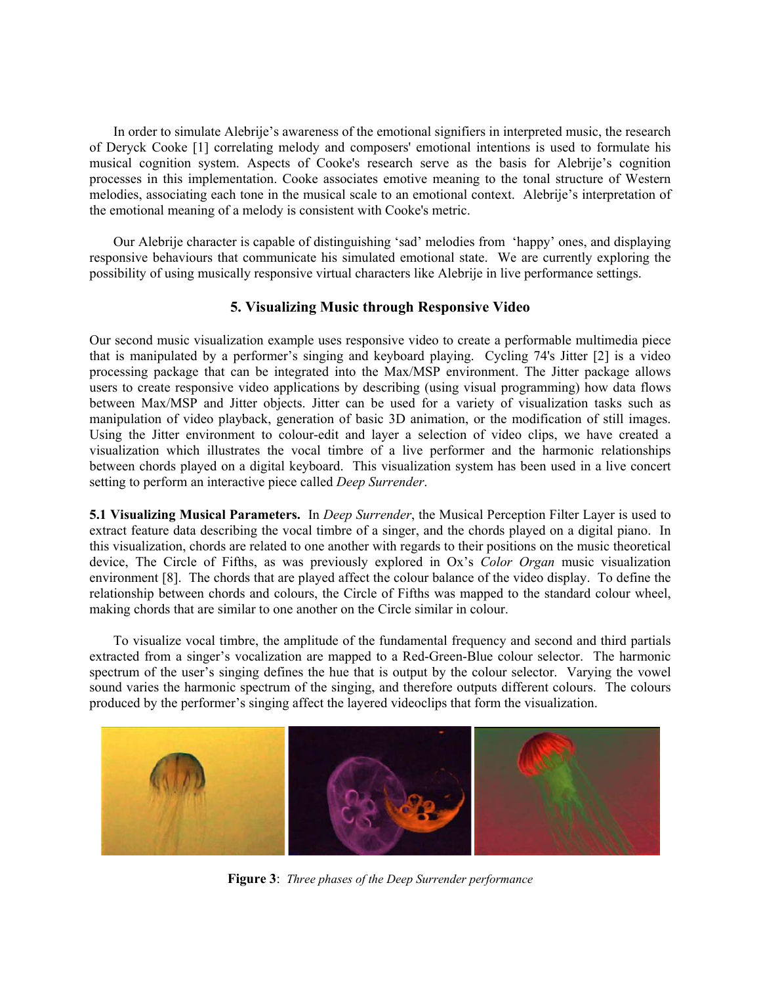In order to simulate Alebrije's awareness of the emotional signifiers in interpreted music, the research of Deryck Cooke [1] correlating melody and composers' emotional intentions is used to formulate his musical cognition system. Aspects of Cooke's research serve as the basis for Alebrije's cognition processes in this implementation. Cooke associates emotive meaning to the tonal structure of Western melodies, associating each tone in the musical scale to an emotional context. Alebrije's interpretation of the emotional meaning of a melody is consistent with Cooke's metric.

 Our Alebrije character is capable of distinguishing 'sad' melodies from 'happy' ones, and displaying responsive behaviours that communicate his simulated emotional state. We are currently exploring the possibility of using musically responsive virtual characters like Alebrije in live performance settings.

#### **5. Visualizing Music through Responsive Video**

Our second music visualization example uses responsive video to create a performable multimedia piece that is manipulated by a performer's singing and keyboard playing. Cycling 74's Jitter [2] is a video processing package that can be integrated into the Max/MSP environment. The Jitter package allows users to create responsive video applications by describing (using visual programming) how data flows between Max/MSP and Jitter objects. Jitter can be used for a variety of visualization tasks such as manipulation of video playback, generation of basic 3D animation, or the modification of still images. Using the Jitter environment to colour-edit and layer a selection of video clips, we have created a visualization which illustrates the vocal timbre of a live performer and the harmonic relationships between chords played on a digital keyboard. This visualization system has been used in a live concert setting to perform an interactive piece called *Deep Surrender*.

**5.1 Visualizing Musical Parameters.** In *Deep Surrender*, the Musical Perception Filter Layer is used to extract feature data describing the vocal timbre of a singer, and the chords played on a digital piano. In this visualization, chords are related to one another with regards to their positions on the music theoretical device, The Circle of Fifths, as was previously explored in Ox's *Color Organ* music visualization environment [8]. The chords that are played affect the colour balance of the video display. To define the relationship between chords and colours, the Circle of Fifths was mapped to the standard colour wheel, making chords that are similar to one another on the Circle similar in colour.

 To visualize vocal timbre, the amplitude of the fundamental frequency and second and third partials extracted from a singer's vocalization are mapped to a Red-Green-Blue colour selector. The harmonic spectrum of the user's singing defines the hue that is output by the colour selector. Varying the vowel sound varies the harmonic spectrum of the singing, and therefore outputs different colours. The colours produced by the performer's singing affect the layered videoclips that form the visualization.



**Figure 3**: *Three phases of the Deep Surrender performance*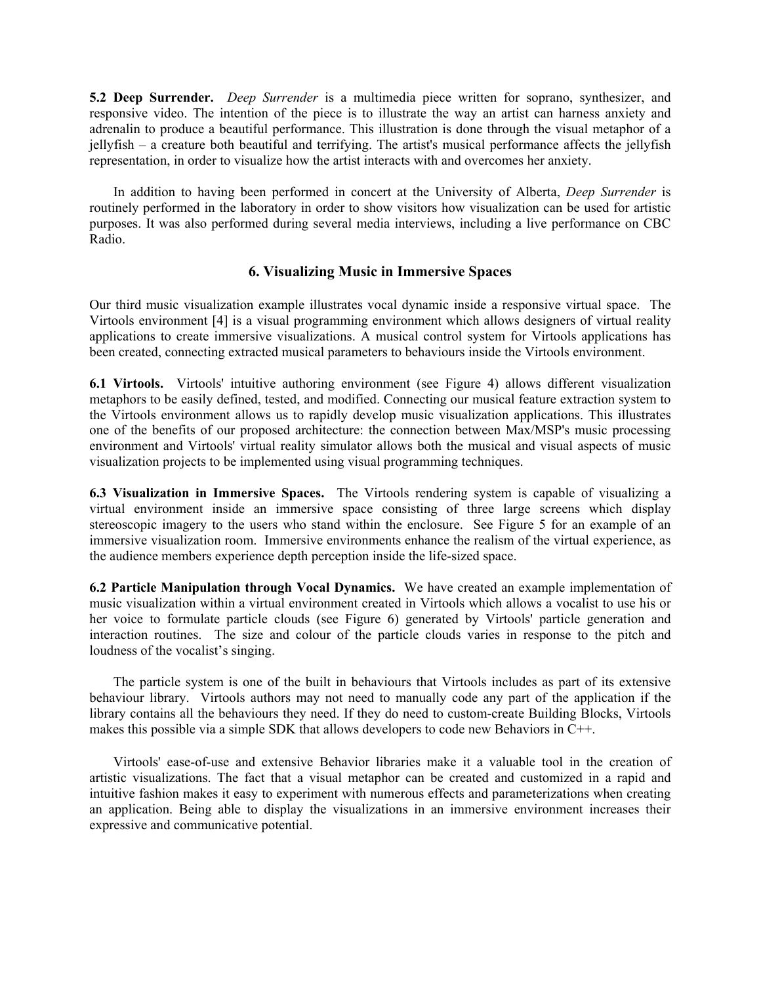**5.2 Deep Surrender.** *Deep Surrender* is a multimedia piece written for soprano, synthesizer, and responsive video. The intention of the piece is to illustrate the way an artist can harness anxiety and adrenalin to produce a beautiful performance. This illustration is done through the visual metaphor of a jellyfish – a creature both beautiful and terrifying. The artist's musical performance affects the jellyfish representation, in order to visualize how the artist interacts with and overcomes her anxiety.

 In addition to having been performed in concert at the University of Alberta, *Deep Surrender* is routinely performed in the laboratory in order to show visitors how visualization can be used for artistic purposes. It was also performed during several media interviews, including a live performance on CBC Radio.

#### **6. Visualizing Music in Immersive Spaces**

Our third music visualization example illustrates vocal dynamic inside a responsive virtual space. The Virtools environment [4] is a visual programming environment which allows designers of virtual reality applications to create immersive visualizations. A musical control system for Virtools applications has been created, connecting extracted musical parameters to behaviours inside the Virtools environment.

**6.1 Virtools.** Virtools' intuitive authoring environment (see Figure 4) allows different visualization metaphors to be easily defined, tested, and modified. Connecting our musical feature extraction system to the Virtools environment allows us to rapidly develop music visualization applications. This illustrates one of the benefits of our proposed architecture: the connection between Max/MSP's music processing environment and Virtools' virtual reality simulator allows both the musical and visual aspects of music visualization projects to be implemented using visual programming techniques.

**6.3 Visualization in Immersive Spaces.** The Virtools rendering system is capable of visualizing a virtual environment inside an immersive space consisting of three large screens which display stereoscopic imagery to the users who stand within the enclosure. See Figure 5 for an example of an immersive visualization room. Immersive environments enhance the realism of the virtual experience, as the audience members experience depth perception inside the life-sized space.

**6.2 Particle Manipulation through Vocal Dynamics.** We have created an example implementation of music visualization within a virtual environment created in Virtools which allows a vocalist to use his or her voice to formulate particle clouds (see Figure 6) generated by Virtools' particle generation and interaction routines. The size and colour of the particle clouds varies in response to the pitch and loudness of the vocalist's singing.

 The particle system is one of the built in behaviours that Virtools includes as part of its extensive behaviour library. Virtools authors may not need to manually code any part of the application if the library contains all the behaviours they need. If they do need to custom-create Building Blocks, Virtools makes this possible via a simple SDK that allows developers to code new Behaviors in C++.

 Virtools' ease-of-use and extensive Behavior libraries make it a valuable tool in the creation of artistic visualizations. The fact that a visual metaphor can be created and customized in a rapid and intuitive fashion makes it easy to experiment with numerous effects and parameterizations when creating an application. Being able to display the visualizations in an immersive environment increases their expressive and communicative potential.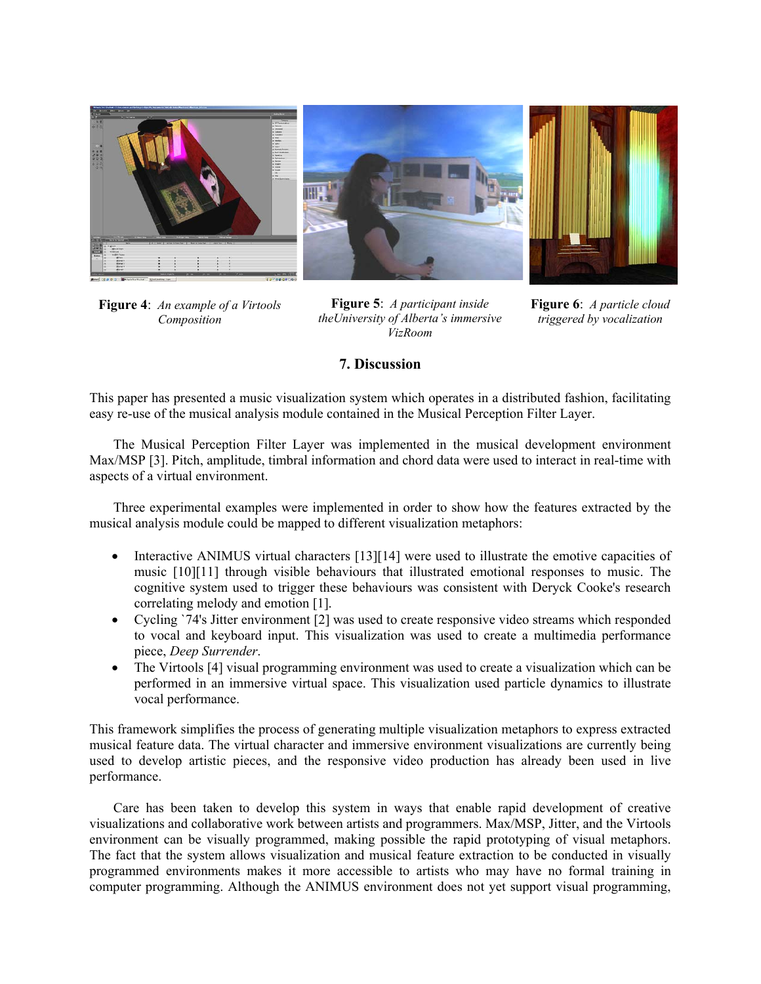

**Figure 4**: *An example of a Virtools Composition* 

**Figure 5**: *A participant inside theUniversity of Alberta's immersive VizRoom* 

**Figure 6**: *A particle cloud triggered by vocalization* 

## **7. Discussion**

This paper has presented a music visualization system which operates in a distributed fashion, facilitating easy re-use of the musical analysis module contained in the Musical Perception Filter Layer.

The Musical Perception Filter Layer was implemented in the musical development environment Max/MSP [3]. Pitch, amplitude, timbral information and chord data were used to interact in real-time with aspects of a virtual environment.

 Three experimental examples were implemented in order to show how the features extracted by the musical analysis module could be mapped to different visualization metaphors:

- Interactive ANIMUS virtual characters [13][14] were used to illustrate the emotive capacities of music [10][11] through visible behaviours that illustrated emotional responses to music. The cognitive system used to trigger these behaviours was consistent with Deryck Cooke's research correlating melody and emotion [1].
- Cycling `74's Jitter environment [2] was used to create responsive video streams which responded to vocal and keyboard input. This visualization was used to create a multimedia performance piece, *Deep Surrender*.
- The Virtools [4] visual programming environment was used to create a visualization which can be performed in an immersive virtual space. This visualization used particle dynamics to illustrate vocal performance.

This framework simplifies the process of generating multiple visualization metaphors to express extracted musical feature data. The virtual character and immersive environment visualizations are currently being used to develop artistic pieces, and the responsive video production has already been used in live performance.

 Care has been taken to develop this system in ways that enable rapid development of creative visualizations and collaborative work between artists and programmers. Max/MSP, Jitter, and the Virtools environment can be visually programmed, making possible the rapid prototyping of visual metaphors. The fact that the system allows visualization and musical feature extraction to be conducted in visually programmed environments makes it more accessible to artists who may have no formal training in computer programming. Although the ANIMUS environment does not yet support visual programming,